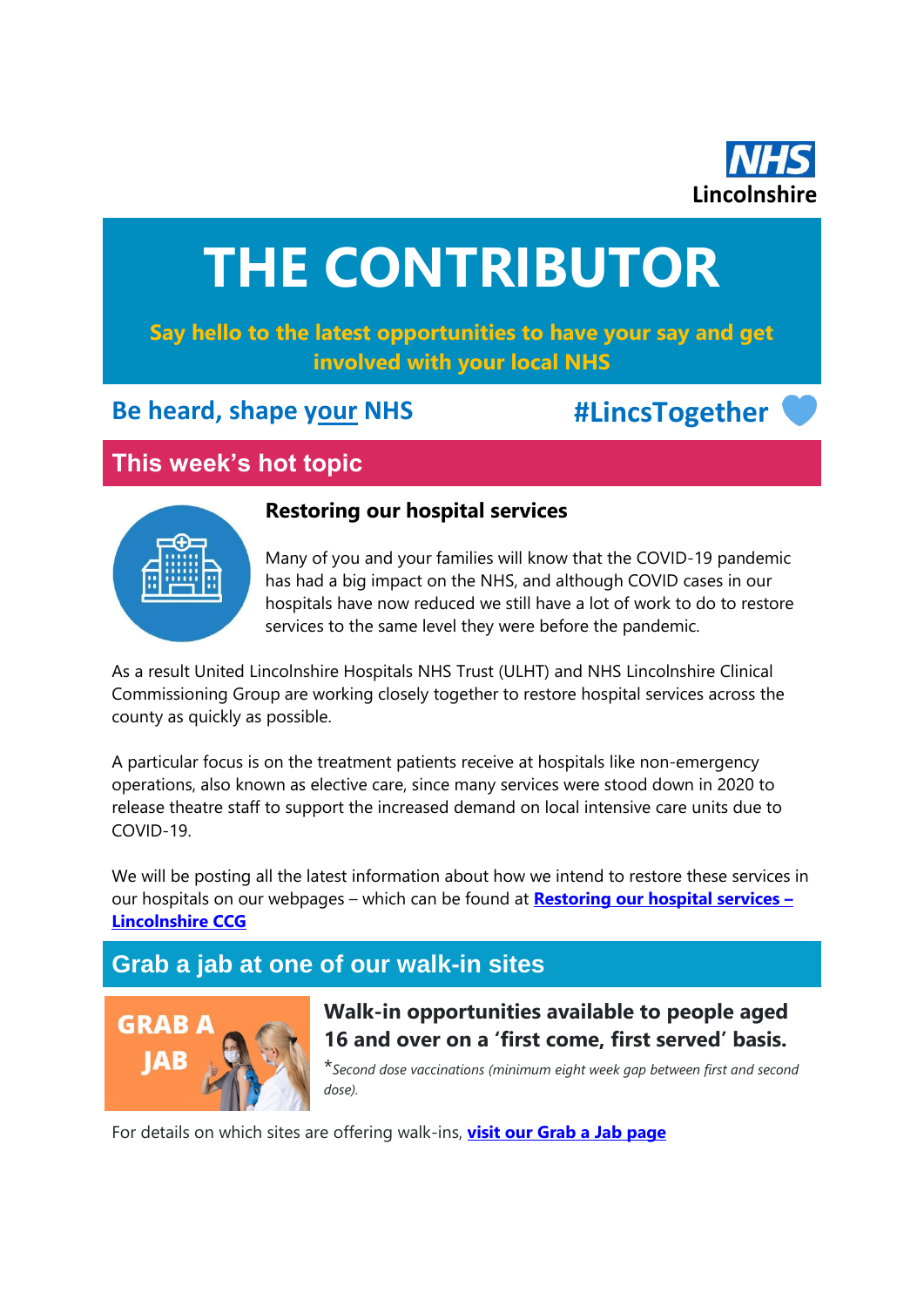

# **THE CONTRIBUTOR**

# **Say hello to the latest opportunities to have your say and get involved with your local NHS**

# **Be heard, shape your NHS #LincsTogether**

# **This week's hot topic**



### **Restoring our hospital services**

Many of you and your families will know that the COVID-19 pandemic has had a big impact on the NHS, and although COVID cases in our hospitals have now reduced we still have a lot of work to do to restore services to the same level they were before the pandemic.

As a result United Lincolnshire Hospitals NHS Trust (ULHT) and NHS Lincolnshire Clinical Commissioning Group are working closely together to restore hospital services across the county as quickly as possible.

A particular focus is on the treatment patients receive at hospitals like non-emergency operations, also known as elective care, since many services were stood down in 2020 to release theatre staff to support the increased demand on local intensive care units due to COVID-19.

We will be posting all the latest information about how we intend to restore these services in our hospitals on our webpages – which can be found at **[Restoring our hospital services](https://lincolnshireccg.nhs.uk/your-health-and-services/restoring-our-hospital-services/) – [Lincolnshire CCG](https://lincolnshireccg.nhs.uk/your-health-and-services/restoring-our-hospital-services/)**

# **Grab a jab at one of our walk-in sites**



**Walk-in opportunities available to people aged 16 and over on a 'first come, first served' basis.** 

\**Second dose vaccinations (minimum eight week gap between first and second dose).*

For details on which sites are offering walk-ins, **[visit our Grab a Jab page](https://lincolnshireccg.nhs.uk/grab-a-jab/)**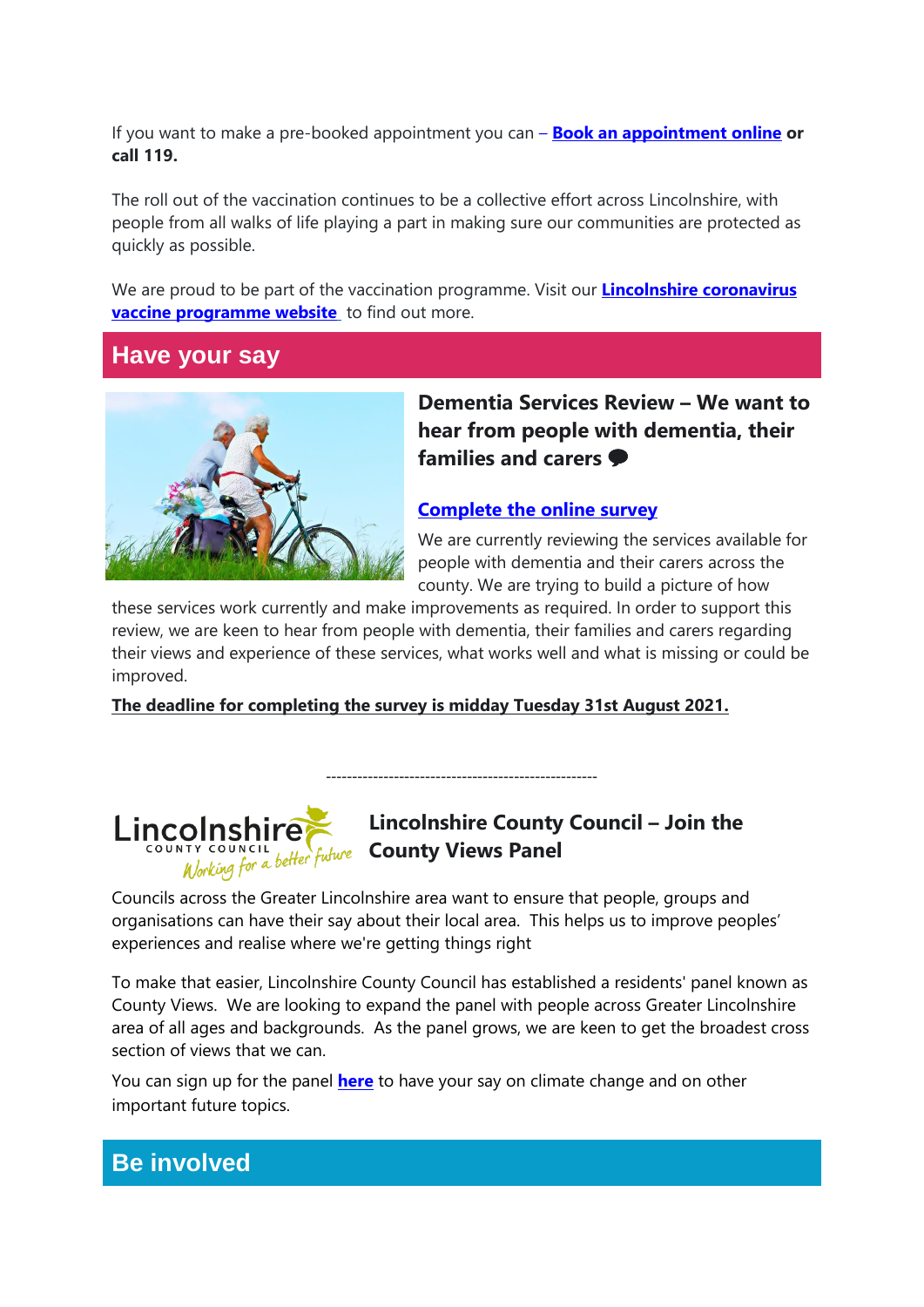If you want to make a pre-booked appointment you can – **[Book an appointment](http://nhs.uk/CovidVaccination) online or call 119.**

The roll out of the vaccination continues to be a collective effort across Lincolnshire, with people from all walks of life playing a part in making sure our communities are protected as quickly as possible.

We are proud to be part of the vaccination programme. Visit our **[Lincolnshire coronavirus](https://www.lincolnshire.nhs.uk/covid)  [vaccine programme website](https://www.lincolnshire.nhs.uk/covid)** to find out more.

## **Have your say**



**Dementia Services Review – We want to hear from people with dementia, their families and carers**

#### **[Complete the online survey](https://l.facebook.com/l.php?u=http%3A%2F%2Fow.ly%2FJk2Q50FQxoI&h=AT3G2Otd19nTixWvCC0O0lfxzn5skKvEmSwyO8Ws0YGPFm2XCXmi1AzauCMACA_yiNotphl3RAKlwBD7l4Dd5vYQtsTx2bqhtuQTfxI7-X5BpJeSvswpkpu5VGe3Opsl1TeQ397JzAe2Po72yL98iAsohu90X6z0H5s57T70B3K7rFsyP1o-JjZXZfI0yoQzdxqq5IXAffghS6YXgEmRs5EaOIc6vmT8N5xvBkPyuAjQYQ7P6dbtxEtWndoRXt1m6FuCgCzPEZZQdVsc3y5Wmf-Xb5ggOETTbgnp8IrFUlhRZ9T1usdAmk_iJzPey97gsdLGbQoU31qi3SFPKvSkf0TS98D3xRImGdiFDrRzCby-1ud_qhZPAphLCmKAnMc8wi-C8Y_lqrqzJbkin5sXrWTzIO9B2bZFTp_7bbUKfP1X4GKvAdce5PJhPSSlg15agI3NefXphMPLFHz5mZzwwV49GLzxgxNDd75P5fv1C7UcaZBKYiKu2oGWkuV3x_A1wPDXibn8Tccd1mWoCGO7BxWGNyFES01ZU5jTTyKtJb7vCtoW64_nn3-D0l7i0kFVPm1bjCSAhZtY9u1Fgxjt0Bx8JyxBoc7a)**

We are currently reviewing the services available for people with dementia and their carers across the county. We are trying to build a picture of how

these services work currently and make improvements as required. In order to support this review, we are keen to hear from people with dementia, their families and carers regarding their views and experience of these services, what works well and what is missing or could be improved.

----------------------------------------------------

**The deadline for completing the survey is midday Tuesday 31st August 2021.**

# Lincolnshire **COUNCIL WARE County Views Panel**

# **Lincolnshire County Council – Join the**

Councils across the Greater Lincolnshire area want to ensure that people, groups and organisations can have their say about their local area. This helps us to improve peoples' experiences and realise where we're getting things right

To make that easier, Lincolnshire County Council has established a residents' panel known as County Views. We are looking to expand the panel with people across Greater Lincolnshire area of all ages and backgrounds. As the panel grows, we are keen to get the broadest cross section of views that we can.

You can sign up for the panel **[here](https://www.lincolnshire.gov.uk/countyviews)** to have your say on climate change and on other important future topics.

# **Be involved**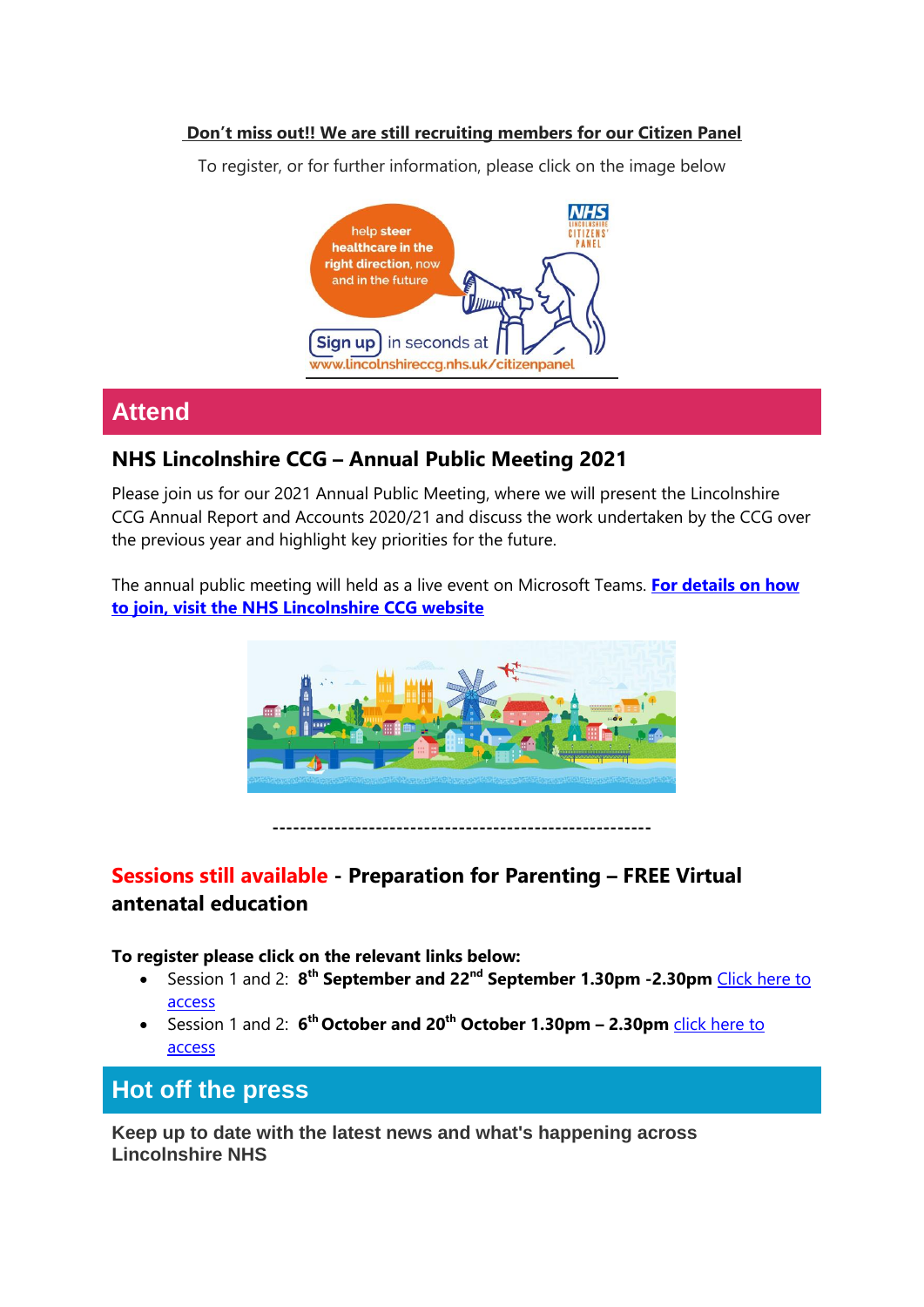#### **Don't miss out!! We are still recruiting members for our Citizen Panel**

To register, or for further information, please click on the image below



# **Attend**

### **NHS Lincolnshire CCG – Annual Public Meeting 2021**

Please join us for our 2021 Annual Public Meeting, where we will present the Lincolnshire CCG Annual Report and Accounts 2020/21 and discuss the work undertaken by the CCG over the previous year and highlight key priorities for the future.

The annual public meeting will held as a live event on Microsoft Teams. **[For details on how](https://lincolnshireccg.nhs.uk/event/annual-public-meeting-2021/)  [to join, visit the NHS Lincolnshire CCG website](https://lincolnshireccg.nhs.uk/event/annual-public-meeting-2021/)**



**-------------------------------------------------------**

## **Sessions still available - Preparation for Parenting – FREE Virtual antenatal education**

**To register please click on the relevant links below:**

- Session 1 and 2: **8 th September and 22nd September 1.30pm -2.30pm** [Click here to](https://gbr01.safelinks.protection.outlook.com/?url=https%3A%2F%2Fus02web.zoom.us%2Fmeeting%2Fregister%2FtZEpcO2grTkvEtLd6by07Fo6NVWAeprwOqFf&data=04%7C01%7CEmily.Turner%40lincolnshire.gov.uk%7C36ceeba4f30c4adccd4908d9193e5547%7Cb4e05b92f8ce46b59b2499ba5c11e5e9%7C0%7C0%7C637568577769424189%7CUnknown%7CTWFpbGZsb3d8eyJWIjoiMC4wLjAwMDAiLCJQIjoiV2luMzIiLCJBTiI6Ik1haWwiLCJXVCI6Mn0%3D%7C1000&sdata=acElPqzOyD7domGaFdY9xVR51NZBzSYonTrNIlRMsqE%3D&reserved=0)  [access](https://gbr01.safelinks.protection.outlook.com/?url=https%3A%2F%2Fus02web.zoom.us%2Fmeeting%2Fregister%2FtZEpcO2grTkvEtLd6by07Fo6NVWAeprwOqFf&data=04%7C01%7CEmily.Turner%40lincolnshire.gov.uk%7C36ceeba4f30c4adccd4908d9193e5547%7Cb4e05b92f8ce46b59b2499ba5c11e5e9%7C0%7C0%7C637568577769424189%7CUnknown%7CTWFpbGZsb3d8eyJWIjoiMC4wLjAwMDAiLCJQIjoiV2luMzIiLCJBTiI6Ik1haWwiLCJXVCI6Mn0%3D%7C1000&sdata=acElPqzOyD7domGaFdY9xVR51NZBzSYonTrNIlRMsqE%3D&reserved=0)
- Session 1 and 2: **6 th October and 20th October 1.30pm – 2.30pm** [click here to](https://gbr01.safelinks.protection.outlook.com/?url=https%3A%2F%2Fus02web.zoom.us%2Fmeeting%2Fregister%2FtZYode-srjwuG9GzSgdJa41wZp5B67JUuebF&data=04%7C01%7CEmily.Turner%40lincolnshire.gov.uk%7C36ceeba4f30c4adccd4908d9193e5547%7Cb4e05b92f8ce46b59b2499ba5c11e5e9%7C0%7C0%7C637568577769424189%7CUnknown%7CTWFpbGZsb3d8eyJWIjoiMC4wLjAwMDAiLCJQIjoiV2luMzIiLCJBTiI6Ik1haWwiLCJXVCI6Mn0%3D%7C1000&sdata=YcJdTknpPd3vvlUS9FXvBqCUUwjJGLPmlBhSZNliN9I%3D&reserved=0)  [access](https://gbr01.safelinks.protection.outlook.com/?url=https%3A%2F%2Fus02web.zoom.us%2Fmeeting%2Fregister%2FtZYode-srjwuG9GzSgdJa41wZp5B67JUuebF&data=04%7C01%7CEmily.Turner%40lincolnshire.gov.uk%7C36ceeba4f30c4adccd4908d9193e5547%7Cb4e05b92f8ce46b59b2499ba5c11e5e9%7C0%7C0%7C637568577769424189%7CUnknown%7CTWFpbGZsb3d8eyJWIjoiMC4wLjAwMDAiLCJQIjoiV2luMzIiLCJBTiI6Ik1haWwiLCJXVCI6Mn0%3D%7C1000&sdata=YcJdTknpPd3vvlUS9FXvBqCUUwjJGLPmlBhSZNliN9I%3D&reserved=0)

**Hot off the press**

**Keep up to date with the latest news and what's happening across Lincolnshire NHS**